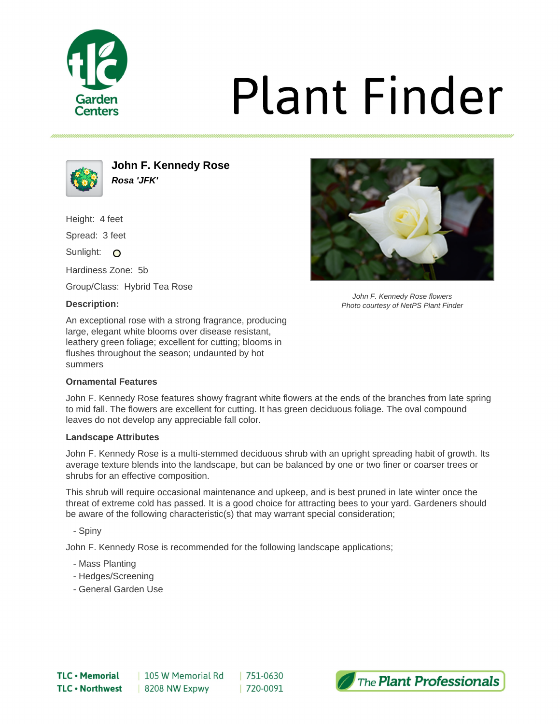

# **Plant Finder**



**John F. Kennedy Rose Rosa 'JFK'**

Height: 4 feet

Spread: 3 feet

Sunlight: O

Hardiness Zone: 5b

Group/Class: Hybrid Tea Rose

### **Description:**

An exceptional rose with a strong fragrance, producing large, elegant white blooms over disease resistant, leathery green foliage; excellent for cutting; blooms in flushes throughout the season; undaunted by hot summers

## **Ornamental Features**

John F. Kennedy Rose features showy fragrant white flowers at the ends of the branches from late spring to mid fall. The flowers are excellent for cutting. It has green deciduous foliage. The oval compound leaves do not develop any appreciable fall color.

### **Landscape Attributes**

John F. Kennedy Rose is a multi-stemmed deciduous shrub with an upright spreading habit of growth. Its average texture blends into the landscape, but can be balanced by one or two finer or coarser trees or shrubs for an effective composition.

This shrub will require occasional maintenance and upkeep, and is best pruned in late winter once the threat of extreme cold has passed. It is a good choice for attracting bees to your yard. Gardeners should be aware of the following characteristic(s) that may warrant special consideration;

- Spiny

John F. Kennedy Rose is recommended for the following landscape applications;

- Mass Planting
- Hedges/Screening
- General Garden Use



John F. Kennedy Rose flowers Photo courtesy of NetPS Plant Finder